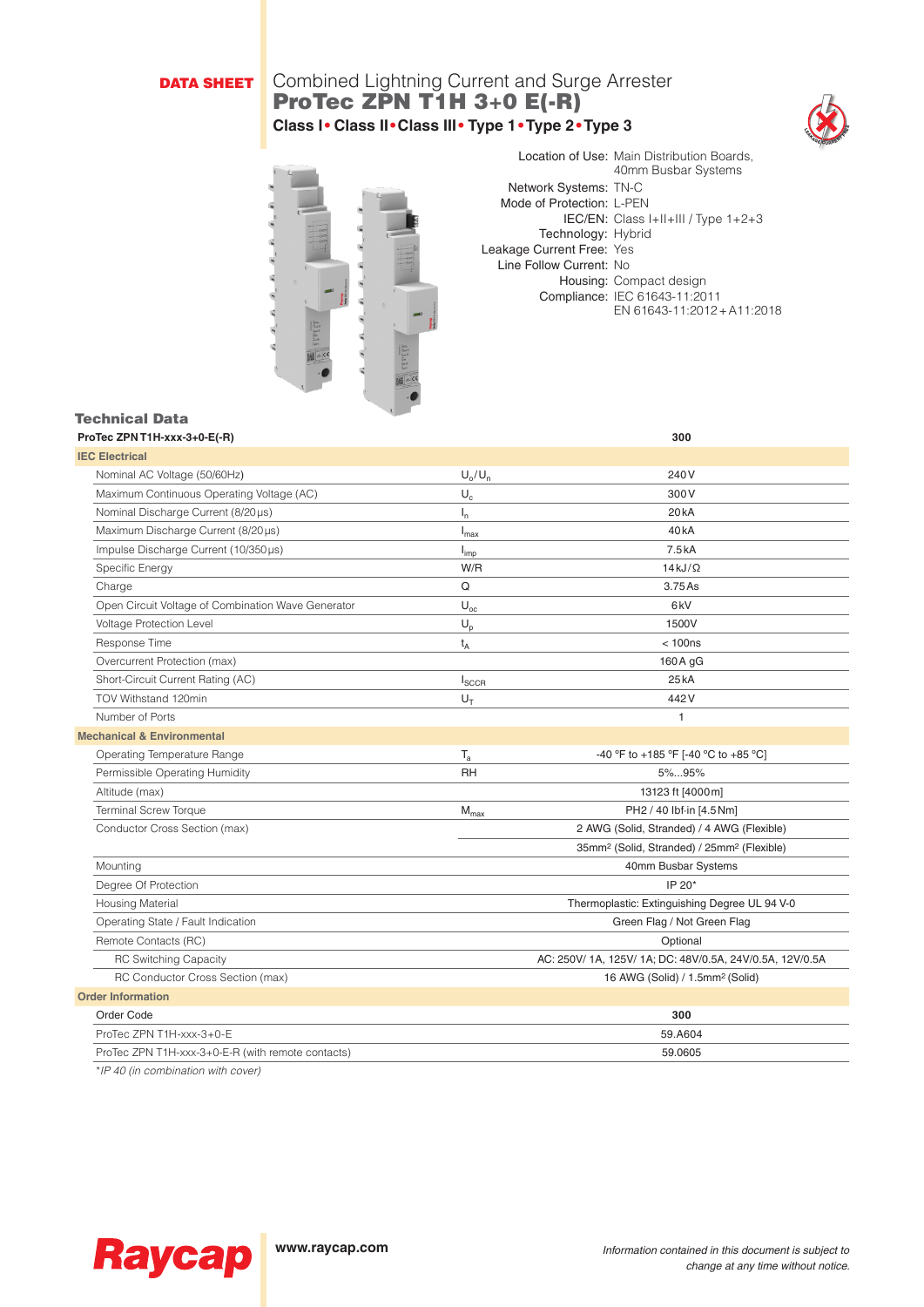# DATA SHEET

# Combined Lightning Current and Surge Arrester ProTec ZPN T1H 3+0 E(-R) **Class I• Class II•Class III• Type 1•Type 2•Type 3**





Location of Use: Main Distribution Boards, 40mm Busbar Systems Network Systems: TN-C Mode of Protection: L-PEN IEC/EN: Class I+II+III / Type 1+2+3 Technology: Hybrid Leakage Current Free: Yes Line Follow Current: No Housing: Compact design Compliance: IEC 61643-11:2011 EN 61643-11:2012+A11:2018

## Technical Data

| ProTec ZPN T1H-xxx-3+0-E(-R)                       |                           | 300                                                                |
|----------------------------------------------------|---------------------------|--------------------------------------------------------------------|
| <b>IEC Electrical</b>                              |                           |                                                                    |
| Nominal AC Voltage (50/60Hz)                       | $U_o/U_n$                 | 240V                                                               |
| Maximum Continuous Operating Voltage (AC)          | $\mathsf{U}_{\mathsf{c}}$ | 300V                                                               |
| Nominal Discharge Current (8/20 µs)                | $I_{n}$                   | 20 <sub>k</sub> A                                                  |
| Maximum Discharge Current (8/20µs)                 | $I_{\text{max}}$          | 40 <sub>k</sub> A                                                  |
| Impulse Discharge Current (10/350µs)               | $I_{imp}$                 | 7.5kA                                                              |
| Specific Energy                                    | W/R                       | $14$ kJ/ $\Omega$                                                  |
| Charge                                             | Q                         | 3.75 As                                                            |
| Open Circuit Voltage of Combination Wave Generator | $\mathsf{U}_{\text{oc}}$  | 6kV                                                                |
| Voltage Protection Level                           | $U_p$                     | 1500V                                                              |
| Response Time                                      | $t_{A}$                   | < 100ns                                                            |
| Overcurrent Protection (max)                       |                           | 160 A gG                                                           |
| Short-Circuit Current Rating (AC)                  | $I_{SCCR}$                | 25kA                                                               |
| TOV Withstand 120min                               | $U_T$                     | 442V                                                               |
| Number of Ports                                    |                           | 1                                                                  |
| <b>Mechanical &amp; Environmental</b>              |                           |                                                                    |
| Operating Temperature Range                        | $T_{a}$                   | -40 °F to +185 °F [-40 °C to +85 °C]                               |
| Permissible Operating Humidity                     | <b>RH</b>                 | 5%95%                                                              |
| Altitude (max)                                     |                           | 13123 ft [4000 m]                                                  |
| <b>Terminal Screw Torque</b>                       | $M_{\text{max}}$          | PH2 / 40 lbf-in [4.5 Nm]                                           |
| Conductor Cross Section (max)                      |                           | 2 AWG (Solid, Stranded) / 4 AWG (Flexible)                         |
|                                                    |                           | 35mm <sup>2</sup> (Solid, Stranded) / 25mm <sup>2</sup> (Flexible) |
| Mounting                                           |                           | 40mm Busbar Systems                                                |
| Degree Of Protection                               |                           | IP 20*                                                             |
| <b>Housing Material</b>                            |                           | Thermoplastic: Extinguishing Degree UL 94 V-0                      |
| Operating State / Fault Indication                 |                           | Green Flag / Not Green Flag                                        |
| Remote Contacts (RC)                               |                           | Optional                                                           |
| <b>RC Switching Capacity</b>                       |                           | AC: 250V/ 1A, 125V/ 1A; DC: 48V/0.5A, 24V/0.5A, 12V/0.5A           |
| RC Conductor Cross Section (max)                   |                           | 16 AWG (Solid) / 1.5mm <sup>2</sup> (Solid)                        |
| <b>Order Information</b>                           |                           |                                                                    |
| Order Code                                         |                           | 300                                                                |
| ProTec ZPN T1H-xxx-3+0-E                           |                           | 59.A604                                                            |
| ProTec ZPN T1H-xxx-3+0-E-R (with remote contacts)  |                           | 59.0605                                                            |
|                                                    |                           |                                                                    |

*\*IP 40 (in combination with cover)*